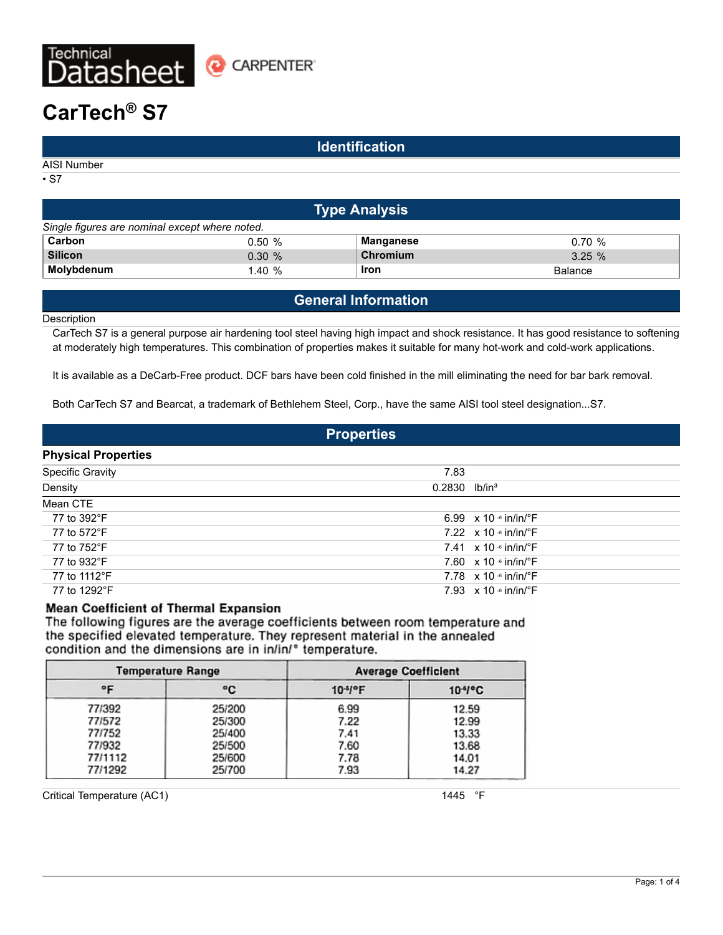

# **CarTech® S7**

### **Identification**

AISI Number

• S7

| <b>Type Analysis</b>                           |           |             |                |  |  |  |
|------------------------------------------------|-----------|-------------|----------------|--|--|--|
| Single figures are nominal except where noted. |           |             |                |  |  |  |
| Carbon                                         | 0.50%     | Manganese   | 0.70%          |  |  |  |
| <b>Silicon</b>                                 | $0.30 \%$ | Chromium    | 3.25%          |  |  |  |
| Molybdenum                                     | 1.40%     | <b>Iron</b> | <b>Balance</b> |  |  |  |

# **General Information**

**Description** 

CarTech S7 is a general purpose air hardening tool steel having high impact and shock resistance. It has good resistance to softening at moderately high temperatures. This combination of properties makes it suitable for many hot-work and cold-work applications.

It is available as a DeCarb-Free product. DCF bars have been cold finished in the mill eliminating the need for bar bark removal.

Both CarTech S7 and Bearcat, a trademark of Bethlehem Steel, Corp., have the same AISI tool steel designation...S7.

### **Properties**

### **Physical Properties**

| . , o. o. opo.  o       |                             |                                           |  |
|-------------------------|-----------------------------|-------------------------------------------|--|
| <b>Specific Gravity</b> | 7.83                        |                                           |  |
| Density                 | $0.2830$ lb/in <sup>3</sup> |                                           |  |
| Mean CTE                |                             |                                           |  |
| 77 to 392°F             |                             | 6.99 $\times$ 10 $\cdot$ in/in/ $\cdot$ F |  |
| 77 to 572°F             |                             | 7.22 $\times$ 10 $\cdot$ in/in/ $\cdot$ F |  |
| 77 to 752°F             |                             | 7.41 $\times$ 10 $\cdot$ in/in/ $\cdot$ F |  |
| 77 to 932°F             |                             | 7.60 $\times$ 10 $\cdot$ in/in/ $\cdot$ F |  |
| 77 to 1112°F            |                             | 7.78 $\times$ 10 $\cdot$ in/in/ $\cdot$ F |  |
| 77 to 1292°F            |                             | 7.93 $\times$ 10 $\cdot$ in/in/ $\cdot$ F |  |
|                         |                             |                                           |  |

### **Mean Coefficient of Thermal Expansion**

The following figures are the average coefficients between room temperature and the specified elevated temperature. They represent material in the annealed condition and the dimensions are in in/in/° temperature.

| <b>Temperature Range</b> |        | <b>Average Coefficient</b> |                    |
|--------------------------|--------|----------------------------|--------------------|
| ∘⊧                       | ۰c     | $10^{-1}$ <sup>o</sup> F   | 10 <sup>4</sup> °C |
| 77/392                   | 25/200 | 6.99                       | 12.59              |
| 77/572                   | 25/300 | 7.22                       | 12.99              |
| 77/752                   | 25/400 | 7.41                       | 13.33              |
| 77/932                   | 25/500 | 7.60                       | 13.68              |
| 77/1112                  | 25/600 | 7.78                       | 14.01              |
| 77/1292                  | 25/700 | 7.93                       | 14.27              |

Critical Temperature (AC1) 1445 °F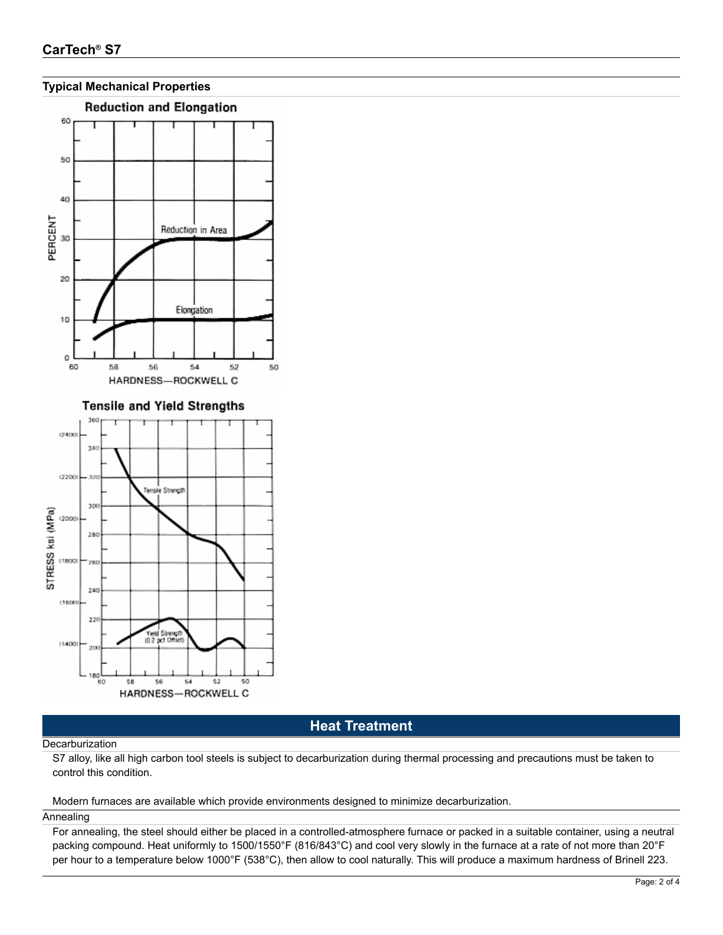



# **Heat Treatment**

### Decarburization

S7 alloy, like all high carbon tool steels is subject to decarburization during thermal processing and precautions must be taken to control this condition.

### Modern furnaces are available which provide environments designed to minimize decarburization.

### Annealing

For annealing, the steel should either be placed in a controlled-atmosphere furnace or packed in a suitable container, using a neutral packing compound. Heat uniformly to 1500/1550°F (816/843°C) and cool very slowly in the furnace at a rate of not more than 20°F per hour to a temperature below 1000°F (538°C), then allow to cool naturally. This will produce a maximum hardness of Brinell 223.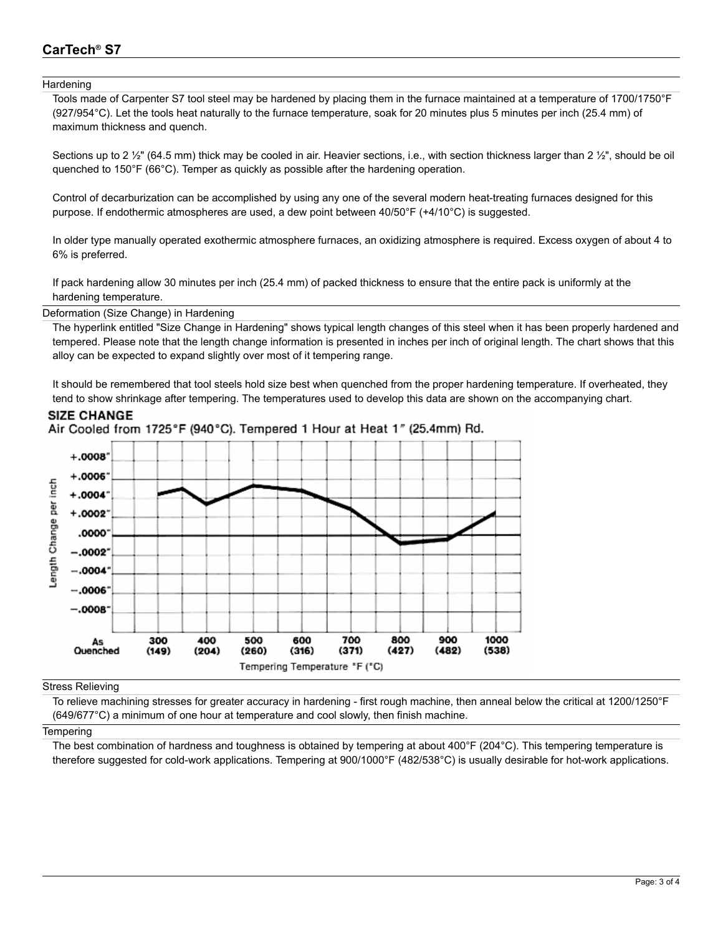# **CarTech® S7**

### **Hardening**

Tools made of Carpenter S7 tool steel may be hardened by placing them in the furnace maintained at a temperature of 1700/1750°F (927/954°C). Let the tools heat naturally to the furnace temperature, soak for 20 minutes plus 5 minutes per inch (25.4 mm) of maximum thickness and quench.

Sections up to 2  $\frac{1}{2}$ " (64.5 mm) thick may be cooled in air. Heavier sections, i.e., with section thickness larger than 2  $\frac{1}{2}$ ", should be oil quenched to 150°F (66°C). Temper as quickly as possible after the hardening operation.

Control of decarburization can be accomplished by using any one of the several modern heat-treating furnaces designed for this purpose. If endothermic atmospheres are used, a dew point between 40/50°F (+4/10°C) is suggested.

In older type manually operated exothermic atmosphere furnaces, an oxidizing atmosphere is required. Excess oxygen of about 4 to 6% is preferred.

If pack hardening allow 30 minutes per inch (25.4 mm) of packed thickness to ensure that the entire pack is uniformly at the hardening temperature.

Deformation (Size Change) in Hardening

The hyperlink entitled "Size Change in Hardening" shows typical length changes of this steel when it has been properly hardened and tempered. Please note that the length change information is presented in inches per inch of original length. The chart shows that this alloy can be expected to expand slightly over most of it tempering range.

It should be remembered that tool steels hold size best when quenched from the proper hardening temperature. If overheated, they tend to show shrinkage after tempering. The temperatures used to develop this data are shown on the accompanying chart.



### **SIZE CHANGE** Air Cooled from 1725°F (940°C). Tempered 1 Hour at Heat 1" (25.4mm) Rd.

Stress Relieving

To relieve machining stresses for greater accuracy in hardening - first rough machine, then anneal below the critical at 1200/1250°F (649/677°C) a minimum of one hour at temperature and cool slowly, then finish machine.

### **Tempering**

The best combination of hardness and toughness is obtained by tempering at about 400°F (204°C). This tempering temperature is therefore suggested for cold-work applications. Tempering at 900/1000°F (482/538°C) is usually desirable for hot-work applications.